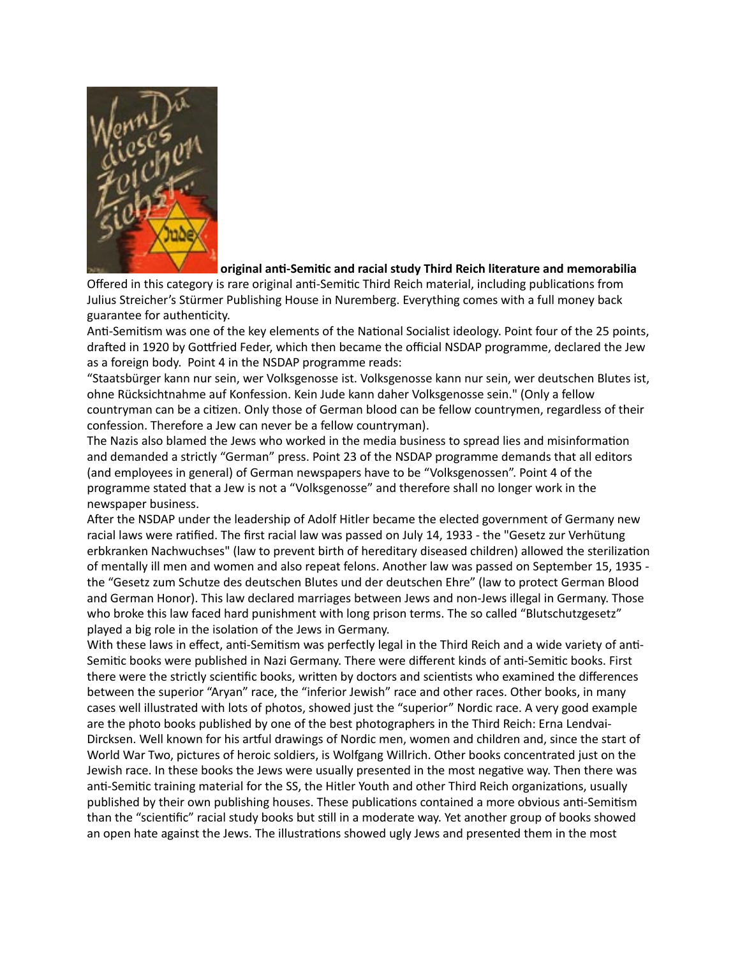

## original anti-Semitic and racial study Third Reich literature and memorabilia

Offered in this category is rare original anti-Semitic Third Reich material, including publications from Julius Streicher's Stürmer Publishing House in Nuremberg. Everything comes with a full money back guarantee for authenticity.

Anti-Semitism was one of the key elements of the National Socialist ideology. Point four of the 25 points, drafted in 1920 by Gottfried Feder, which then became the official NSDAP programme, declared the Jew as a foreign body. Point 4 in the NSDAP programme reads:

"Staatsbürger kann nur sein, wer Volksgenosse ist. Volksgenosse kann nur sein, wer deutschen Blutes ist, ohne Rücksichtnahme auf Konfession. Kein Jude kann daher Volksgenosse sein." (Only a fellow countryman can be a citizen. Only those of German blood can be fellow countrymen, regardless of their confession. Therefore a Jew can never be a fellow countryman).

The Nazis also blamed the Jews who worked in the media business to spread lies and misinformation and demanded a strictly "German" press. Point 23 of the NSDAP programme demands that all editors (and employees in general) of German newspapers have to be "Volksgenossen". Point 4 of the programme stated that a Jew is not a "Volksgenosse" and therefore shall no longer work in the newspaper business.

After the NSDAP under the leadership of Adolf Hitler became the elected government of Germany new racial laws were ratified. The first racial law was passed on July 14, 1933 - the "Gesetz zur Verhütung erbkranken Nachwuchses" (law to prevent birth of hereditary diseased children) allowed the sterilization of mentally ill men and women and also repeat felons. Another law was passed on September 15, 1935 the "Gesetz zum Schutze des deutschen Blutes und der deutschen Ehre" (law to protect German Blood and German Honor). This law declared marriages between Jews and non-Jews illegal in Germany. Those who broke this law faced hard punishment with long prison terms. The so called "Blutschutzgesetz" played a big role in the isolation of the Jews in Germany.

With these laws in effect, anti-Semitism was perfectly legal in the Third Reich and a wide variety of anti-Semitic books were published in Nazi Germany. There were different kinds of anti-Semitic books. First there were the strictly scientific books, written by doctors and scientists who examined the differences between the superior "Aryan" race, the "inferior Jewish" race and other races. Other books, in many cases well illustrated with lots of photos, showed just the "superior" Nordic race. A very good example are the photo books published by one of the best photographers in the Third Reich: Erna Lendvai-Dircksen. Well known for his artful drawings of Nordic men, women and children and, since the start of World War Two, pictures of heroic soldiers, is Wolfgang Willrich. Other books concentrated just on the Jewish race. In these books the Jews were usually presented in the most negative way. Then there was anti-Semitic training material for the SS, the Hitler Youth and other Third Reich organizations, usually published by their own publishing houses. These publications contained a more obvious anti-Semitism than the "scientific" racial study books but still in a moderate way. Yet another group of books showed an open hate against the Jews. The illustrations showed ugly Jews and presented them in the most